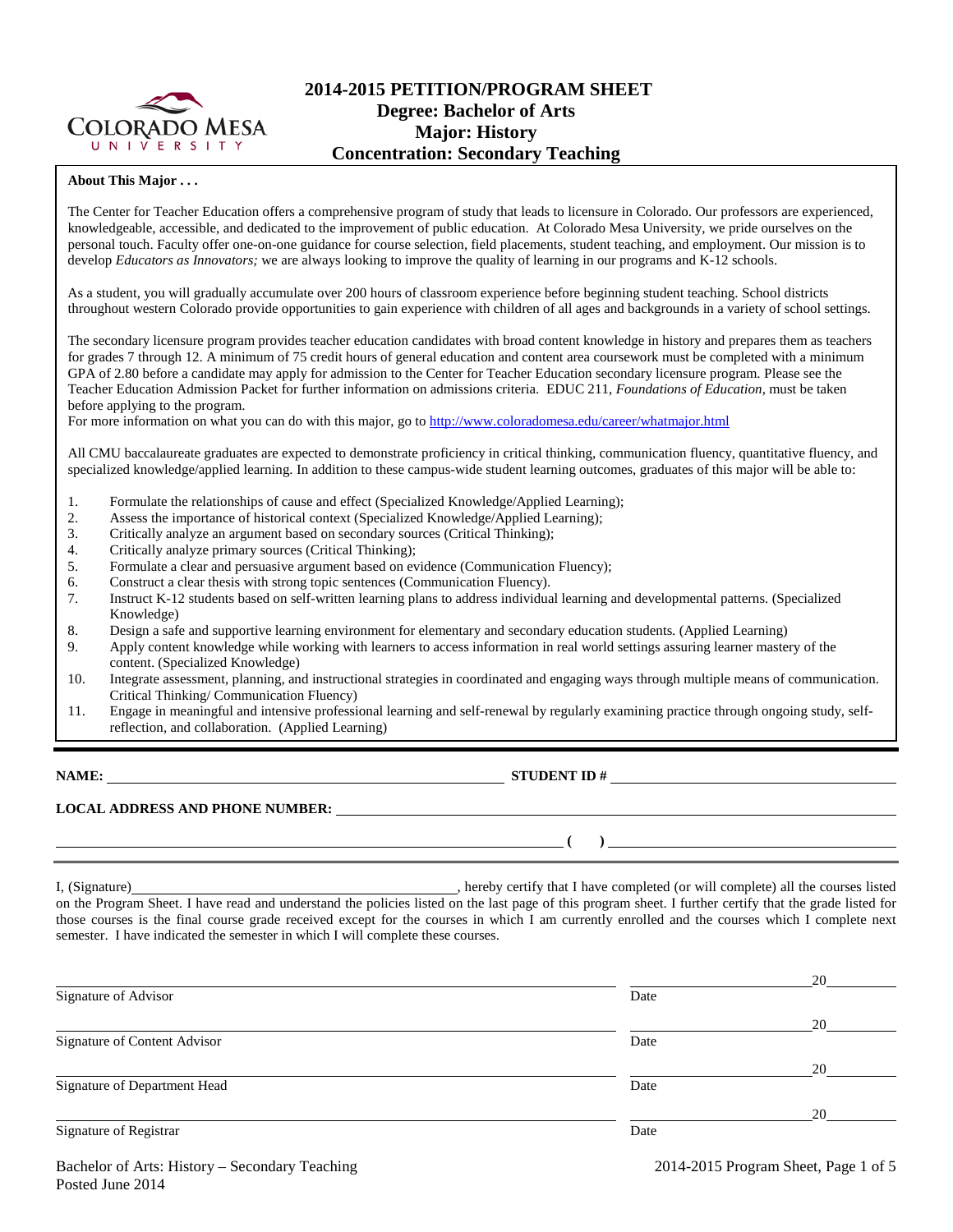

# **2014-2015 PETITION/PROGRAM SHEET Degree: Bachelor of Arts Major: History Concentration: Secondary Teaching**

### **About This Major . . .**

The Center for Teacher Education offers a comprehensive program of study that leads to licensure in Colorado. Our professors are experienced, knowledgeable, accessible, and dedicated to the improvement of public education. At Colorado Mesa University, we pride ourselves on the personal touch. Faculty offer one-on-one guidance for course selection, field placements, student teaching, and employment. Our mission is to develop *Educators as Innovators;* we are always looking to improve the quality of learning in our programs and K-12 schools.

As a student, you will gradually accumulate over 200 hours of classroom experience before beginning student teaching. School districts throughout western Colorado provide opportunities to gain experience with children of all ages and backgrounds in a variety of school settings.

The secondary licensure program provides teacher education candidates with broad content knowledge in history and prepares them as teachers for grades 7 through 12. A minimum of 75 credit hours of general education and content area coursework must be completed with a minimum GPA of 2.80 before a candidate may apply for admission to the Center for Teacher Education secondary licensure program. Please see the Teacher Education Admission Packet for further information on admissions criteria. EDUC 211, *Foundations of Education*, must be taken before applying to the program.

For more information on what you can do with this major, go to<http://www.coloradomesa.edu/career/whatmajor.html>

All CMU baccalaureate graduates are expected to demonstrate proficiency in critical thinking, communication fluency, quantitative fluency, and specialized knowledge/applied learning. In addition to these campus-wide student learning outcomes, graduates of this major will be able to:

- 1. Formulate the relationships of cause and effect (Specialized Knowledge/Applied Learning);
- 2. Assess the importance of historical context (Specialized Knowledge/Applied Learning);
- 3. Critically analyze an argument based on secondary sources (Critical Thinking);
- 4. Critically analyze primary sources (Critical Thinking);<br>5. Formulate a clear and persuasive argument based on ev
- 5. Formulate a clear and persuasive argument based on evidence (Communication Fluency);
- 6. Construct a clear thesis with strong topic sentences (Communication Fluency).
- 7. Instruct K-12 students based on self-written learning plans to address individual learning and developmental patterns. (Specialized Knowledge)
- 8. Design a safe and supportive learning environment for elementary and secondary education students. (Applied Learning)
- 9. Apply content knowledge while working with learners to access information in real world settings assuring learner mastery of the content. (Specialized Knowledge)
- 10. Integrate assessment, planning, and instructional strategies in coordinated and engaging ways through multiple means of communication. Critical Thinking/ Communication Fluency)
- 11. Engage in meaningful and intensive professional learning and self-renewal by regularly examining practice through ongoing study, selfreflection, and collaboration. (Applied Learning)

**NAME: STUDENT ID #**

 $($   $)$   $)$ 

# **LOCAL ADDRESS AND PHONE NUMBER:**

I, (Signature) **Source 2008** (Signature) **, hereby certify that I have completed** (or will complete) all the courses listed on the Program Sheet. I have read and understand the policies listed on the last page of this program sheet. I further certify that the grade listed for those courses is the final course grade received except for the courses in which I am currently enrolled and the courses which I complete next semester. I have indicated the semester in which I will complete these courses.

|                              |      | 20 |
|------------------------------|------|----|
| Signature of Advisor         | Date |    |
|                              |      | 20 |
| Signature of Content Advisor | Date |    |
|                              |      | 20 |
| Signature of Department Head | Date |    |
|                              |      | 20 |
| Signature of Registrar       | Date |    |
|                              |      |    |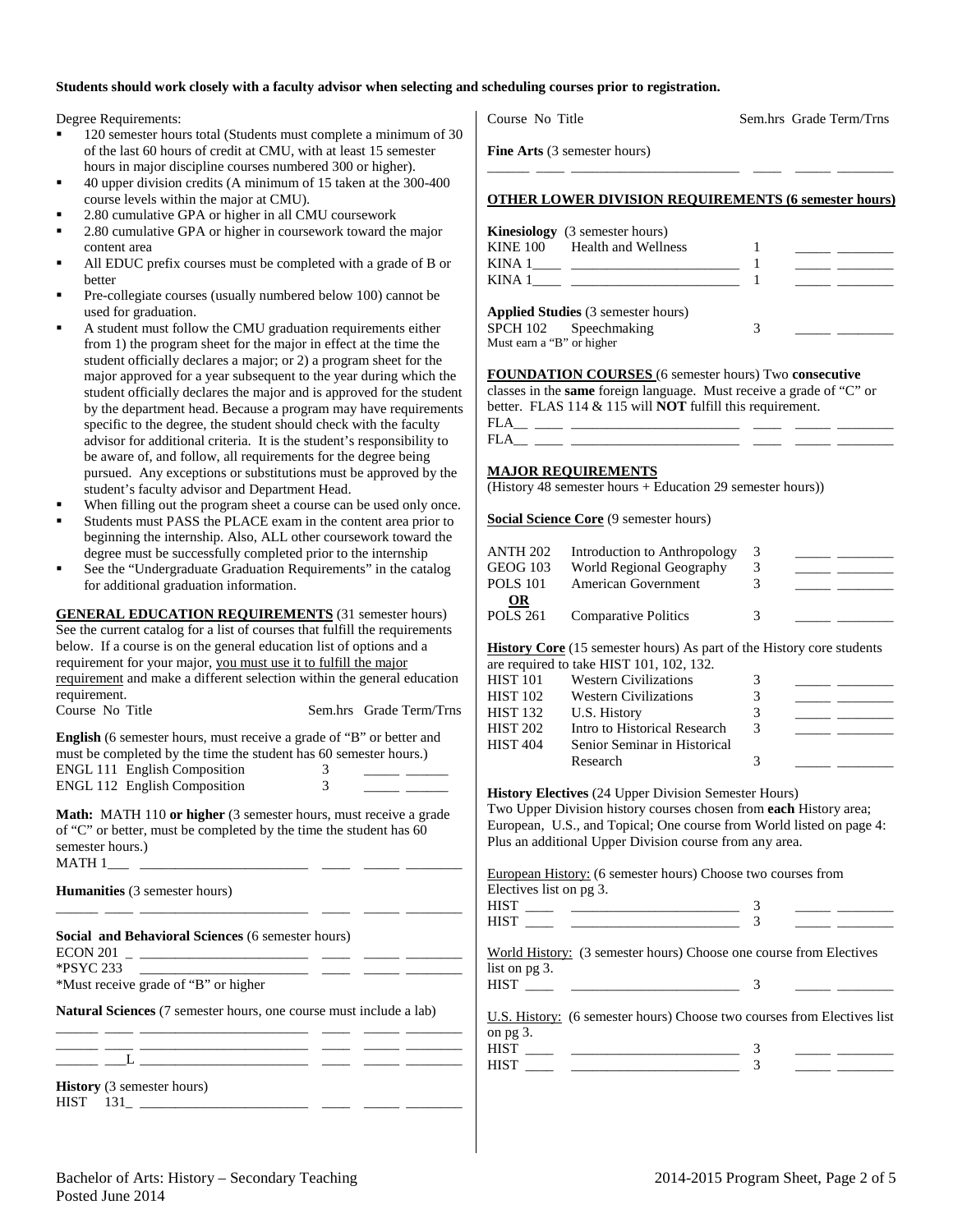## **Students should work closely with a faculty advisor when selecting and scheduling courses prior to registration.**

Degree Requirements:

- 120 semester hours total (Students must complete a minimum of 30 of the last 60 hours of credit at CMU, with at least 15 semester hours in major discipline courses numbered 300 or higher).
- 40 upper division credits (A minimum of 15 taken at the 300-400 course levels within the major at CMU).
- 2.80 cumulative GPA or higher in all CMU coursework
- 2.80 cumulative GPA or higher in coursework toward the major content area
- All EDUC prefix courses must be completed with a grade of B or better
- Pre-collegiate courses (usually numbered below 100) cannot be used for graduation.
- A student must follow the CMU graduation requirements either from 1) the program sheet for the major in effect at the time the student officially declares a major; or 2) a program sheet for the major approved for a year subsequent to the year during which the student officially declares the major and is approved for the student by the department head. Because a program may have requirements specific to the degree, the student should check with the faculty advisor for additional criteria. It is the student's responsibility to be aware of, and follow, all requirements for the degree being pursued. Any exceptions or substitutions must be approved by the student's faculty advisor and Department Head.
- When filling out the program sheet a course can be used only once.
- Students must PASS the PLACE exam in the content area prior to beginning the internship. Also, ALL other coursework toward the degree must be successfully completed prior to the internship
- See the "Undergraduate Graduation Requirements" in the catalog for additional graduation information.

| <b>GENERAL EDUCATION REQUIREMENTS</b> (31 semester hours)<br>See the current catalog for a list of courses that fulfill the requirements<br>below. If a course is on the general education list of options and a<br>requirement for your major, you must use it to fulfill the major<br>requirement and make a different selection within the general education<br>requirement. |                    |                         |  |
|---------------------------------------------------------------------------------------------------------------------------------------------------------------------------------------------------------------------------------------------------------------------------------------------------------------------------------------------------------------------------------|--------------------|-------------------------|--|
| Course No Title                                                                                                                                                                                                                                                                                                                                                                 |                    | Sem.hrs Grade Term/Trns |  |
| <b>English</b> (6 semester hours, must receive a grade of "B" or better and<br>must be completed by the time the student has 60 semester hours.)<br>ENGL 111 English Composition<br><b>ENGL 112 English Composition</b>                                                                                                                                                         | 3<br>$\mathcal{F}$ |                         |  |
| <b>Math:</b> MATH 110 or higher (3 semester hours, must receive a grade<br>of "C" or better, must be completed by the time the student has 60<br>semester hours.)<br>MATH 1                                                                                                                                                                                                     |                    |                         |  |
| <b>Humanities</b> (3 semester hours)                                                                                                                                                                                                                                                                                                                                            |                    |                         |  |
| Social and Behavioral Sciences (6 semester hours)<br><b>ECON 201</b>                                                                                                                                                                                                                                                                                                            |                    |                         |  |
| *PSYC 233                                                                                                                                                                                                                                                                                                                                                                       |                    |                         |  |
| *Must receive grade of "B" or higher                                                                                                                                                                                                                                                                                                                                            |                    |                         |  |
| <b>Natural Sciences</b> (7 semester hours, one course must include a lab)                                                                                                                                                                                                                                                                                                       |                    |                         |  |

\_\_\_\_\_\_ \_\_\_\_ \_\_\_\_\_\_\_\_\_\_\_\_\_\_\_\_\_\_\_\_\_\_\_\_ \_\_\_\_ \_\_\_\_\_ \_\_\_\_\_\_\_\_ \_\_\_\_\_\_ \_\_\_L \_\_\_\_\_\_\_\_\_\_\_\_\_\_\_\_\_\_\_\_\_\_\_\_ \_\_\_\_ \_\_\_\_\_ \_\_\_\_\_\_\_\_

**History** (3 semester hours)  $HIST \quad 131 \_ \_ \_$ 

| <b>OTHER LOWER DIVISION REQUIREMENTS (6 semester hours)</b>                          |  |
|--------------------------------------------------------------------------------------|--|
| <b>Kinesiology</b> (3 semester hours)<br>KINE 100 Health and Wellness<br>KINA $1 \_$ |  |
| <b>Applied Studies</b> (3 semester hours)<br>SPCH 102 Speechmaking                   |  |

Course No Title Sem.hrs Grade Term/Trns

**FOUNDATION COURSES** (6 semester hours) Two **consecutive** classes in the **same** foreign language. Must receive a grade of "C" or better. FLAS 114 & 115 will **NOT** fulfill this requirement.  $FLA$ <sub>\_\_\_\_</sub>\_\_

FLA\_\_ \_\_\_\_ \_\_\_\_\_\_\_\_\_\_\_\_\_\_\_\_\_\_\_\_\_\_\_\_ \_\_\_\_ \_\_\_\_\_ \_\_\_\_\_\_\_\_

#### **MAJOR REQUIREMENTS**

Must earn a "B" or higher

**Fine Arts** (3 semester hours)

(History 48 semester hours + Education 29 semester hours))

**Social Science Core** (9 semester hours)

| ANTH 202 | Introduction to Anthropology | 3 |  |
|----------|------------------------------|---|--|
| GEOG 103 | World Regional Geography     | 3 |  |
| POLS 101 | American Government          | 3 |  |
| OR       |                              |   |  |
| POLS 261 | <b>Comparative Politics</b>  | 3 |  |

**History Core** (15 semester hours) As part of the History core students  $\frac{1}{2}$  EXECT 101, 102.

|                 | are required to take $HIS1$ $101$ , $102$ , $132$ . |   |  |
|-----------------|-----------------------------------------------------|---|--|
| <b>HIST 101</b> | <b>Western Civilizations</b>                        | 3 |  |
| <b>HIST 102</b> | <b>Western Civilizations</b>                        |   |  |
| <b>HIST 132</b> | U.S. History                                        |   |  |
| <b>HIST 202</b> | Intro to Historical Research                        | 3 |  |
| <b>HIST 404</b> | Senior Seminar in Historical                        |   |  |
|                 | Research                                            |   |  |
|                 |                                                     |   |  |

**History Electives** (24 Upper Division Semester Hours) Two Upper Division history courses chosen from **each** History area; European, U.S., and Topical; One course from World listed on page 4: Plus an additional Upper Division course from any area.

European History: (6 semester hours) Choose two courses from Electives list on pg 3.

| <b>HIST</b><br><b>HIST</b> |                                                                    |  |  |
|----------------------------|--------------------------------------------------------------------|--|--|
|                            | World History: (3 semester hours) Choose one course from Electives |  |  |

list on pg 3. HIST \_\_\_\_ \_\_\_\_\_\_\_\_\_\_\_\_\_\_\_\_\_\_\_\_\_\_\_\_ 3 \_\_\_\_\_ \_\_\_\_\_\_\_\_

U.S. History: (6 semester hours) Choose two courses from Electives list on pg 3. HIST \_\_\_\_ \_\_\_\_\_\_\_\_\_\_\_\_\_\_\_\_\_\_\_\_\_\_\_\_ 3 \_\_\_\_\_ \_\_\_\_\_\_\_\_

| . |  |  | the control of the control of the control of the control of the control of the control of the control of the control of the control of the control of the control of the control of the control of the control of the control |
|---|--|--|-------------------------------------------------------------------------------------------------------------------------------------------------------------------------------------------------------------------------------|
|   |  |  |                                                                                                                                                                                                                               |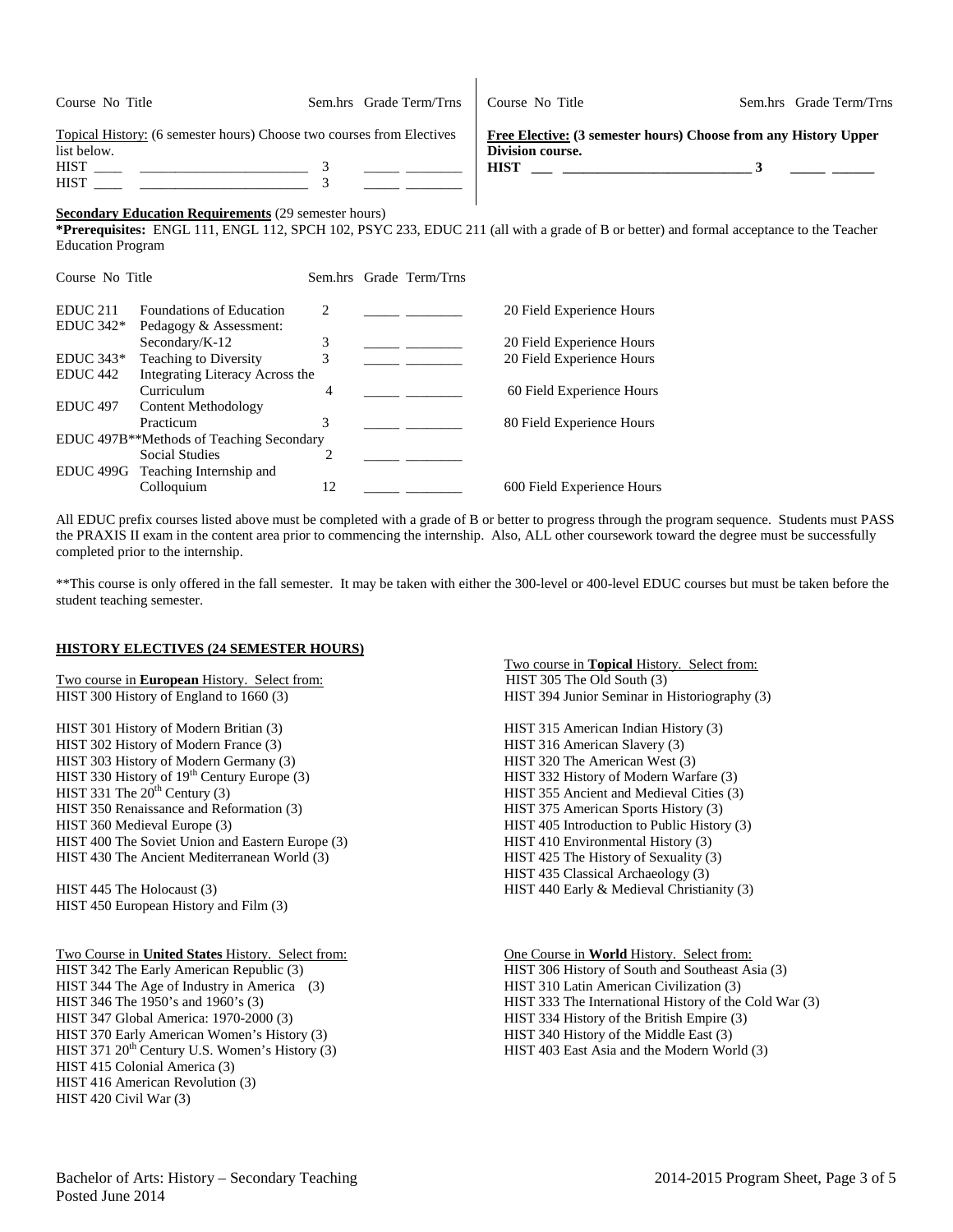| Course No Title                                                                                                    | Sem.hrs Grade Term/Trns | Course No Title                 | Sem.hrs Grade Term/Trns                                         |
|--------------------------------------------------------------------------------------------------------------------|-------------------------|---------------------------------|-----------------------------------------------------------------|
| Topical History: (6 semester hours) Choose two courses from Electives<br>list below.<br><b>HIST</b><br><b>HIST</b> |                         | Division course.<br><b>HIST</b> | Free Elective: (3 semester hours) Choose from any History Upper |
| Secondary Education Requirements (20 semester hours)                                                               |                         |                                 |                                                                 |

 $\mathbf{I}$ 

### **Secondary Education Requirements** (29 semester hours)

**\*Prerequisites:** ENGL 111, ENGL 112, SPCH 102, PSYC 233, EDUC 211 (all with a grade of B or better) and formal acceptance to the Teacher Education Program

| Course No Title                                        |                                                       |                               |  | Sem.hrs Grade Term/Trns |                            |
|--------------------------------------------------------|-------------------------------------------------------|-------------------------------|--|-------------------------|----------------------------|
| EDUC <sub>211</sub>                                    | <b>Foundations of Education</b>                       | $\mathfrak{D}_{\mathfrak{p}}$ |  |                         | 20 Field Experience Hours  |
| $EDUC 342*$                                            | Pedagogy & Assessment:                                |                               |  |                         |                            |
|                                                        | Secondary/K-12                                        | 3                             |  |                         | 20 Field Experience Hours  |
| $EDUC 343*$                                            | Teaching to Diversity                                 | 3                             |  |                         | 20 Field Experience Hours  |
| EDUC <sub>442</sub><br>Integrating Literacy Across the |                                                       |                               |  |                         |                            |
|                                                        | Curriculum                                            | 4                             |  |                         | 60 Field Experience Hours  |
| <b>EDUC</b> 497                                        | Content Methodology                                   |                               |  |                         |                            |
|                                                        | Practicum                                             | 3                             |  |                         | 80 Field Experience Hours  |
|                                                        | EDUC 497B <sup>**</sup> Methods of Teaching Secondary |                               |  |                         |                            |
|                                                        | <b>Social Studies</b>                                 | $\mathfrak{D}_{\mathfrak{p}}$ |  |                         |                            |
|                                                        | EDUC 499G Teaching Internship and                     |                               |  |                         |                            |
|                                                        | Colloquium                                            | 12                            |  |                         | 600 Field Experience Hours |

All EDUC prefix courses listed above must be completed with a grade of B or better to progress through the program sequence. Students must PASS the PRAXIS II exam in the content area prior to commencing the internship. Also, ALL other coursework toward the degree must be successfully completed prior to the internship.

\*\*This course is only offered in the fall semester. It may be taken with either the 300-level or 400-level EDUC courses but must be taken before the student teaching semester.

### **HISTORY ELECTIVES (24 SEMESTER HOURS)**

Two course in **European** History. Select from: HIST 305 The Old South (3) HIST 300 History of England to 1660 (3) HIST 394 Junior Seminar in Historiography (3)

HIST 301 History of Modern Britian (3)<br>
HIST 315 American Indian History (3)<br>
HIST 316 American Slavery (3) HIST 302 History of Modern France (3) HIST 316 American Slavery (3)<br>HIST 303 History of Modern Germany (3) HIST 320 The American West (3) HIST 303 History of Modern Germany (3) HIST 330 History of 19<sup>th</sup> Century Europe (3) HIST 332 History of Modern Warfare (3) HIST 331 The 20<sup>th</sup> Century (3) HIST 355 Ancient and Medieval Cities (3) HIST 350 Renaissance and Reformation (3) HIST 375 American Sports History (3) HIST 360 Medieval Europe (3) HIST 405 Introduction to Public History (3) HIST 400 The Soviet Union and Eastern Europe (3) HIST 410 Environmental History (3) HIST 430 The Ancient Mediterranean World (3) HIST 425 The History of Sexuality (3)

HIST 450 European History and Film (3)

HIST 344 The Age of Industry in America (3) HIST 346 The 1950's and 1960's (3) HIST 347 Global America: 1970-2000 (3) HIST 334 History of the British Empire (3) HIST 370 Early American Women's History (3) HIST 340 History of the Middle East (3)<br>HIST 371 20<sup>th</sup> Century U.S. Women's History (3) HIST 403 East Asia and the Modern World (3) HIST 371  $20<sup>th</sup>$  Century U.S. Women's History (3) HIST 415 Colonial America (3) HIST 416 American Revolution (3) HIST 420 Civil War (3)

Two course in **Topical** History. Select from:

HIST 355 Ancient and Medieval Cities (3) HIST 435 Classical Archaeology (3) HIST 445 The Holocaust (3) HIST 440 Early & Medieval Christianity (3)

Two Course in **United States** History. Select from: One Course in **World** History. Select from: HIST 342 The Early American Republic (3) HIST 306 History of South and Southeast As HIST 306 History of South and Southeast Asia (3) HIST 310 Latin American Civilization (3) HIST 333 The International History of the Cold War (3)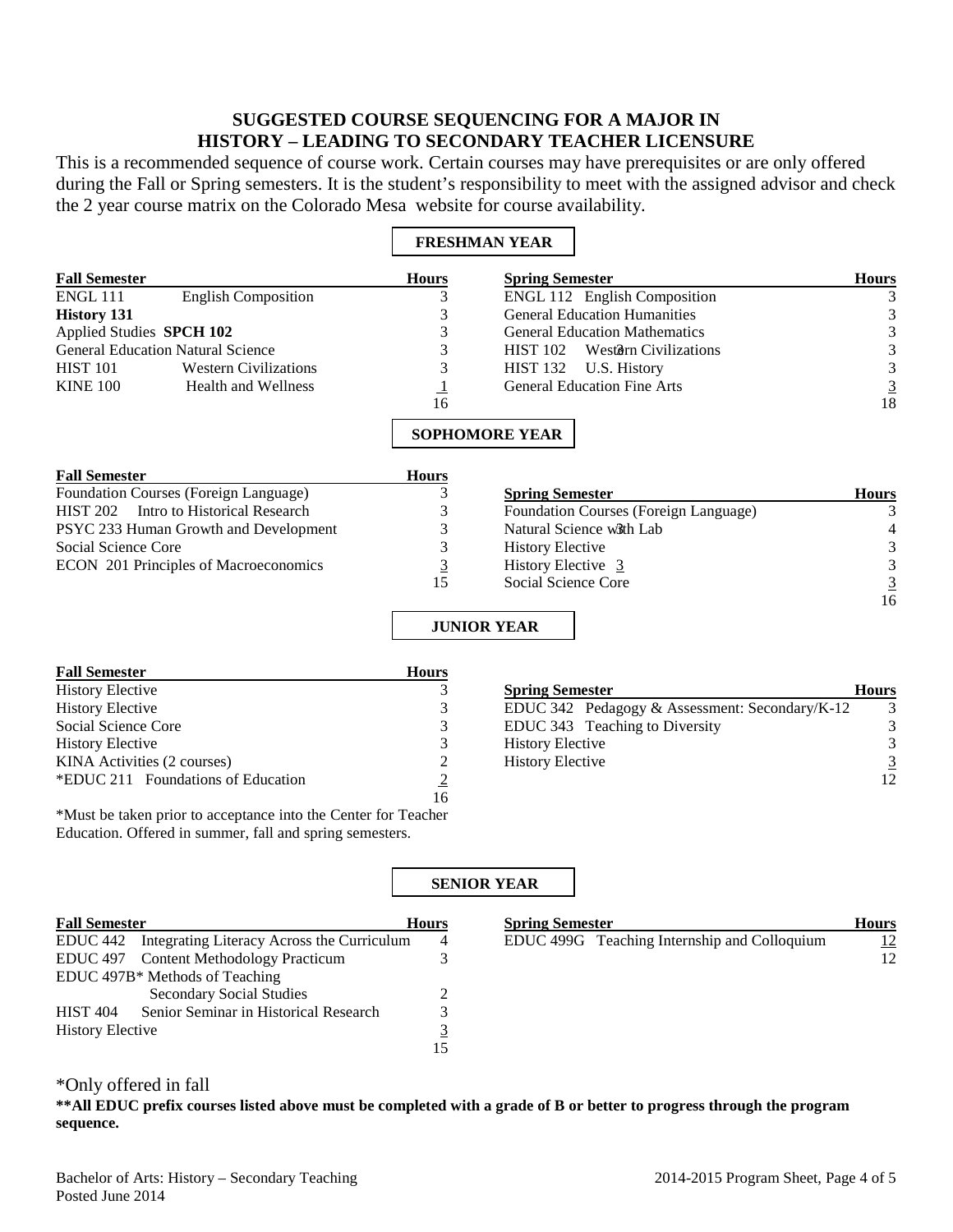## **SUGGESTED COURSE SEQUENCING FOR A MAJOR IN HISTORY – LEADING TO SECONDARY TEACHER LICENSURE**

This is a recommended sequence of course work. Certain courses may have prerequisites or are only offered during the Fall or Spring semesters. It is the student's responsibility to meet with the assigned advisor and check the 2 year course matrix on the Colorado Mesa website for course availability.

 $\blacksquare$ 

|                                                                                                                            |                | <b>FRESHMAN YEAR</b>                           |                                             |
|----------------------------------------------------------------------------------------------------------------------------|----------------|------------------------------------------------|---------------------------------------------|
| <b>Fall Semester</b>                                                                                                       | <b>Hours</b>   | <b>Spring Semester</b>                         | <b>Hours</b>                                |
| <b>ENGL 111</b><br><b>English Composition</b>                                                                              | 3              | ENGL 112 English Composition                   | 3                                           |
| <b>History 131</b>                                                                                                         | 3              | <b>General Education Humanities</b>            | 3                                           |
| Applied Studies SPCH 102                                                                                                   | 3              | <b>General Education Mathematics</b>           | 3                                           |
| <b>General Education Natural Science</b>                                                                                   | 3              | <b>HIST 102</b><br>Western Civilizations       | $\overline{\mathbf{3}}$                     |
| <b>HIST 101</b><br><b>Western Civilizations</b>                                                                            | 3              | <b>HIST 132</b><br>U.S. History                |                                             |
| <b>KINE 100</b><br><b>Health and Wellness</b>                                                                              | $\perp$        | <b>General Education Fine Arts</b>             | $\begin{array}{c} 3 \\ 3 \\ 18 \end{array}$ |
|                                                                                                                            | 16             |                                                |                                             |
|                                                                                                                            |                | <b>SOPHOMORE YEAR</b>                          |                                             |
| <b>Fall Semester</b>                                                                                                       | <b>Hours</b>   |                                                |                                             |
| <b>Foundation Courses (Foreign Language)</b>                                                                               | 3              | <b>Spring Semester</b>                         | <b>Hours</b>                                |
| Intro to Historical Research<br><b>HIST 202</b>                                                                            | 3              | Foundation Courses (Foreign Language)          | 3                                           |
| PSYC 233 Human Growth and Development                                                                                      | 3              | Natural Science with Lab                       | 4                                           |
| Social Science Core                                                                                                        | $\overline{3}$ | <b>History Elective</b>                        | $\sqrt{3}$                                  |
| <b>ECON 201 Principles of Macroeconomics</b>                                                                               | $\frac{3}{15}$ | History Elective 3                             |                                             |
|                                                                                                                            |                | Social Science Core                            | $\begin{array}{c} 3 \\ 3 \\ 16 \end{array}$ |
|                                                                                                                            |                |                                                |                                             |
|                                                                                                                            |                | <b>JUNIOR YEAR</b>                             |                                             |
| <b>Fall Semester</b>                                                                                                       | <b>Hours</b>   |                                                |                                             |
| <b>History Elective</b>                                                                                                    | 3              | <b>Spring Semester</b>                         | <b>Hours</b>                                |
| <b>History Elective</b>                                                                                                    | 3              | EDUC 342 Pedagogy & Assessment: Secondary/K-12 | 3                                           |
| <b>Social Science Core</b>                                                                                                 | 3              | EDUC 343 Teaching to Diversity                 | $\sqrt{3}$                                  |
| <b>History Elective</b>                                                                                                    | 3              | <b>History Elective</b>                        | $\ensuremath{\mathfrak{Z}}$                 |
| KINA Activities (2 courses)                                                                                                | $\overline{c}$ | <b>History Elective</b>                        | $\frac{3}{12}$                              |
| *EDUC 211 Foundations of Education                                                                                         | $\overline{2}$ |                                                |                                             |
|                                                                                                                            | 16             |                                                |                                             |
| *Must be taken prior to acceptance into the Center for Teacher<br>Education. Offered in summer, fall and spring semesters. |                |                                                |                                             |
|                                                                                                                            |                | <b>SENIOR YEAR</b>                             |                                             |

| <b>Fall Semester</b>    |                                                     | <b>Hours</b> |
|-------------------------|-----------------------------------------------------|--------------|
|                         | EDUC 442 Integrating Literacy Across the Curriculum |              |
|                         | EDUC 497 Content Methodology Practicum              |              |
|                         | EDUC 497B* Methods of Teaching                      |              |
|                         | <b>Secondary Social Studies</b>                     |              |
| <b>HIST 404</b>         | Senior Seminar in Historical Research               |              |
| <b>History Elective</b> |                                                     |              |
|                         |                                                     |              |

| <b>Spring Semester</b> |                                              | <b>Hours</b> |
|------------------------|----------------------------------------------|--------------|
|                        | EDUC 499G Teaching Internship and Colloquium |              |
|                        |                                              |              |

\*Only offered in fall

**\*\*All EDUC prefix courses listed above must be completed with a grade of B or better to progress through the program sequence.**